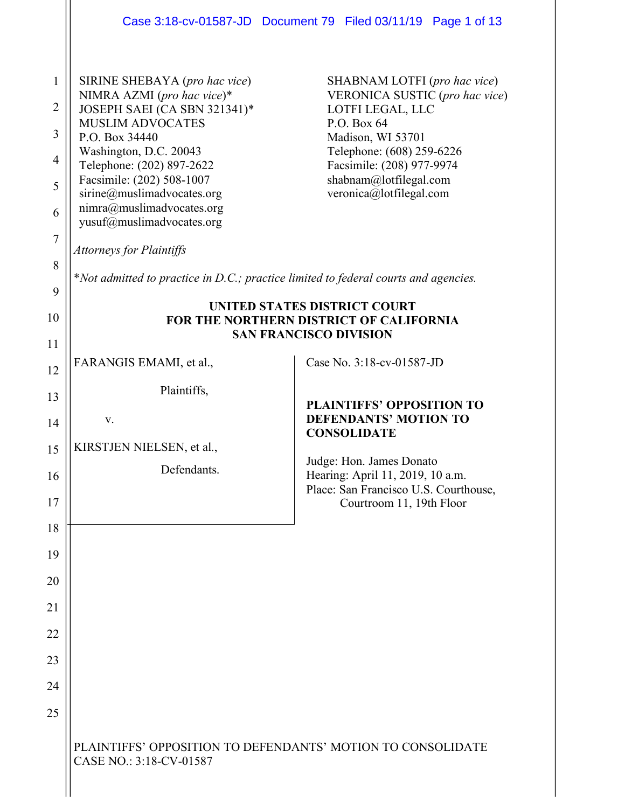|                                                                                                              |                                                                                                                                                                                                                                                                                                                                                                                                                                                | Case 3:18-cv-01587-JD  Document 79  Filed 03/11/19  Page 1 of 13                                                                                                                                                                      |
|--------------------------------------------------------------------------------------------------------------|------------------------------------------------------------------------------------------------------------------------------------------------------------------------------------------------------------------------------------------------------------------------------------------------------------------------------------------------------------------------------------------------------------------------------------------------|---------------------------------------------------------------------------------------------------------------------------------------------------------------------------------------------------------------------------------------|
| $\mathbf{1}$<br>$\overline{2}$<br>$\overline{\mathbf{3}}$<br>$\overline{4}$<br>5<br>6<br>$\overline{7}$<br>8 | SIRINE SHEBAYA (pro hac vice)<br>NIMRA AZMI (pro hac vice)*<br>JOSEPH SAEI (CA SBN 321341)*<br><b>MUSLIM ADVOCATES</b><br>P.O. Box 34440<br>Washington, D.C. 20043<br>Telephone: (202) 897-2622<br>Facsimile: (202) 508-1007<br>sirine@muslimadvocates.org<br>nimra@muslimadvocates.org<br>yusuf@muslimadvocates.org<br><b>Attorneys for Plaintiffs</b><br>*Not admitted to practice in D.C.; practice limited to federal courts and agencies. | SHABNAM LOTFI (pro hac vice)<br>VERONICA SUSTIC (pro hac vice)<br>LOTFI LEGAL, LLC<br>P.O. Box 64<br>Madison, WI 53701<br>Telephone: (608) 259-6226<br>Facsimile: (208) 977-9974<br>shabnam@lotfilegal.com<br>veronica@lotfilegal.com |
| 9<br>10                                                                                                      | UNITED STATES DISTRICT COURT<br>FOR THE NORTHERN DISTRICT OF CALIFORNIA                                                                                                                                                                                                                                                                                                                                                                        |                                                                                                                                                                                                                                       |
| 11                                                                                                           |                                                                                                                                                                                                                                                                                                                                                                                                                                                | <b>SAN FRANCISCO DIVISION</b>                                                                                                                                                                                                         |
| 12                                                                                                           | FARANGIS EMAMI, et al.,                                                                                                                                                                                                                                                                                                                                                                                                                        | Case No. 3:18-cv-01587-JD                                                                                                                                                                                                             |
| 13                                                                                                           | Plaintiffs,                                                                                                                                                                                                                                                                                                                                                                                                                                    | <b>PLAINTIFFS' OPPOSITION TO</b><br><b>DEFENDANTS' MOTION TO</b>                                                                                                                                                                      |
| 14                                                                                                           | V.                                                                                                                                                                                                                                                                                                                                                                                                                                             | <b>CONSOLIDATE</b>                                                                                                                                                                                                                    |
| 15                                                                                                           | KIRSTJEN NIELSEN, et al.,                                                                                                                                                                                                                                                                                                                                                                                                                      | Judge: Hon. James Donato                                                                                                                                                                                                              |
| 16<br>17                                                                                                     | Defendants.                                                                                                                                                                                                                                                                                                                                                                                                                                    | Hearing: April 11, 2019, 10 a.m.<br>Place: San Francisco U.S. Courthouse,<br>Courtroom 11, 19th Floor                                                                                                                                 |
| 18                                                                                                           |                                                                                                                                                                                                                                                                                                                                                                                                                                                |                                                                                                                                                                                                                                       |
| 19                                                                                                           |                                                                                                                                                                                                                                                                                                                                                                                                                                                |                                                                                                                                                                                                                                       |
| 20                                                                                                           |                                                                                                                                                                                                                                                                                                                                                                                                                                                |                                                                                                                                                                                                                                       |
| 21                                                                                                           |                                                                                                                                                                                                                                                                                                                                                                                                                                                |                                                                                                                                                                                                                                       |
| 22                                                                                                           |                                                                                                                                                                                                                                                                                                                                                                                                                                                |                                                                                                                                                                                                                                       |
| 23                                                                                                           |                                                                                                                                                                                                                                                                                                                                                                                                                                                |                                                                                                                                                                                                                                       |
| 24                                                                                                           |                                                                                                                                                                                                                                                                                                                                                                                                                                                |                                                                                                                                                                                                                                       |
| 25                                                                                                           |                                                                                                                                                                                                                                                                                                                                                                                                                                                |                                                                                                                                                                                                                                       |
|                                                                                                              |                                                                                                                                                                                                                                                                                                                                                                                                                                                |                                                                                                                                                                                                                                       |
|                                                                                                              | PLAINTIFFS' OPPOSITION TO DEFENDANTS' MOTION TO CONSOLIDATE<br>CASE NO.: 3:18-CV-01587                                                                                                                                                                                                                                                                                                                                                         |                                                                                                                                                                                                                                       |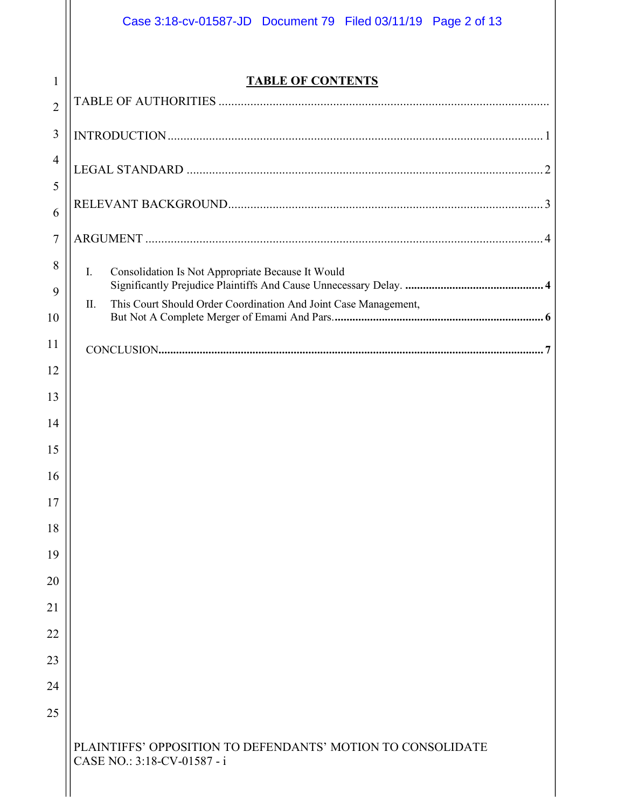|                | Case 3:18-cv-01587-JD  Document 79  Filed 03/11/19  Page 2 of 13                           |
|----------------|--------------------------------------------------------------------------------------------|
| $\mathbf{1}$   | <b>TABLE OF CONTENTS</b>                                                                   |
| $\overline{2}$ |                                                                                            |
| 3              |                                                                                            |
| $\overline{4}$ |                                                                                            |
| 5              |                                                                                            |
| 6              |                                                                                            |
| 7              |                                                                                            |
| 8              | Consolidation Is Not Appropriate Because It Would<br>$\mathbf{I}$ .                        |
| 9              | This Court Should Order Coordination And Joint Case Management,<br>$\mathbf{H}$            |
| 10             |                                                                                            |
| 11<br>12       |                                                                                            |
| 13             |                                                                                            |
| 14             |                                                                                            |
| 15             |                                                                                            |
| 16             |                                                                                            |
| 17             |                                                                                            |
| 18             |                                                                                            |
| 19             |                                                                                            |
| 20             |                                                                                            |
| 21             |                                                                                            |
| 22             |                                                                                            |
| 23             |                                                                                            |
| 24             |                                                                                            |
| 25             |                                                                                            |
|                | PLAINTIFFS' OPPOSITION TO DEFENDANTS' MOTION TO CONSOLIDATE<br>CASE NO.: 3:18-CV-01587 - i |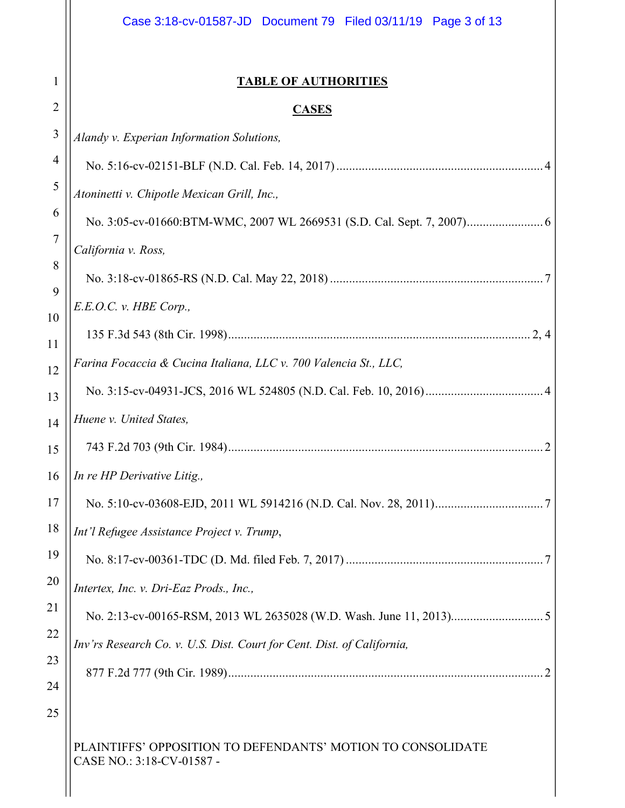|                | Case 3:18-cv-01587-JD Document 79 Filed 03/11/19 Page 3 of 13                            |
|----------------|------------------------------------------------------------------------------------------|
| 1              | <b>TABLE OF AUTHORITIES</b>                                                              |
| $\overline{2}$ | <b>CASES</b>                                                                             |
| 3              | Alandy v. Experian Information Solutions,                                                |
| 4              |                                                                                          |
| 5              | Atoninetti v. Chipotle Mexican Grill, Inc.,                                              |
| 6              |                                                                                          |
| 7              | California v. Ross,                                                                      |
| 8              |                                                                                          |
| 9              | E.E.O.C. v. HBE Corp.                                                                    |
| 10<br>11       |                                                                                          |
| 12             | Farina Focaccia & Cucina Italiana, LLC v. 700 Valencia St., LLC,                         |
| 13             |                                                                                          |
| 14             | Huene v. United States,                                                                  |
| 15             |                                                                                          |
| 16             | In re HP Derivative Litig.,                                                              |
| 17             |                                                                                          |
| 18             | Int'l Refugee Assistance Project v. Trump,                                               |
| 19             |                                                                                          |
| 20             | Intertex, Inc. v. Dri-Eaz Prods., Inc.,                                                  |
| 21             |                                                                                          |
| 22             | Inv'rs Research Co. v. U.S. Dist. Court for Cent. Dist. of California,                   |
| 23             |                                                                                          |
| 24<br>25       |                                                                                          |
|                | PLAINTIFFS' OPPOSITION TO DEFENDANTS' MOTION TO CONSOLIDATE<br>CASE NO.: 3:18-CV-01587 - |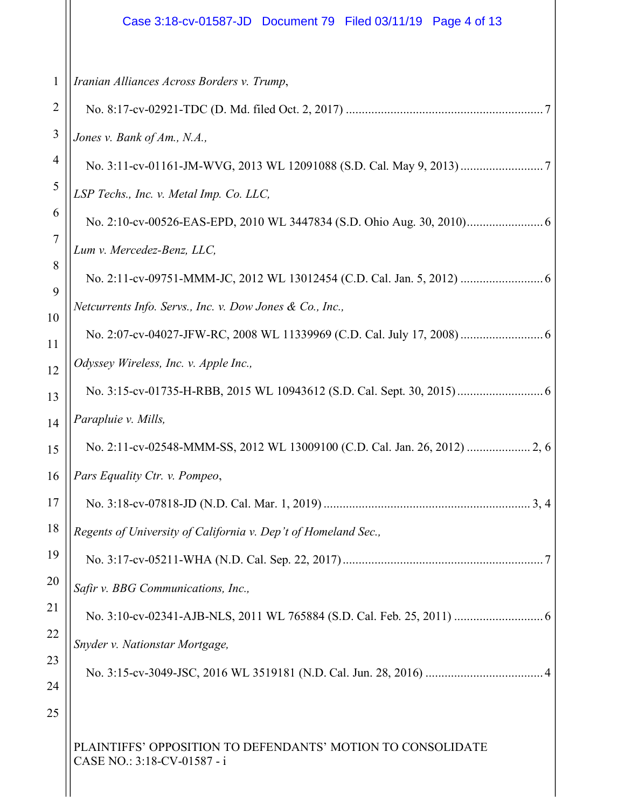# Case 3:18-cv-01587-JD Document 79 Filed 03/11/19 Page 4 of 13

| $\mathbf{1}$   | Iranian Alliances Across Borders v. Trump,                                                 |
|----------------|--------------------------------------------------------------------------------------------|
| $\overline{2}$ |                                                                                            |
| 3              | Jones v. Bank of Am., N.A.,                                                                |
| 4              |                                                                                            |
| 5              | LSP Techs., Inc. v. Metal Imp. Co. LLC,                                                    |
| 6              |                                                                                            |
| $\overline{7}$ | Lum v. Mercedez-Benz, LLC,                                                                 |
| 8<br>9         |                                                                                            |
| 10             | Netcurrents Info. Servs., Inc. v. Dow Jones & Co., Inc.,                                   |
| 11             |                                                                                            |
| 12             | Odyssey Wireless, Inc. v. Apple Inc.,                                                      |
| 13             |                                                                                            |
| 14             | Parapluie v. Mills,                                                                        |
| 15             |                                                                                            |
| 16             | Pars Equality Ctr. v. Pompeo,                                                              |
| 17             | .3, 4                                                                                      |
| 18             | Regents of University of California v. Dep't of Homeland Sec.,                             |
| 19             |                                                                                            |
| 20             | Safir v. BBG Communications, Inc.,                                                         |
| 21             |                                                                                            |
| 22             | Snyder v. Nationstar Mortgage,                                                             |
| 23             |                                                                                            |
| 24             |                                                                                            |
| 25             |                                                                                            |
|                | PLAINTIFFS' OPPOSITION TO DEFENDANTS' MOTION TO CONSOLIDATE<br>CASE NO.: 3:18-CV-01587 - i |

 $\begin{array}{c} \hline \end{array}$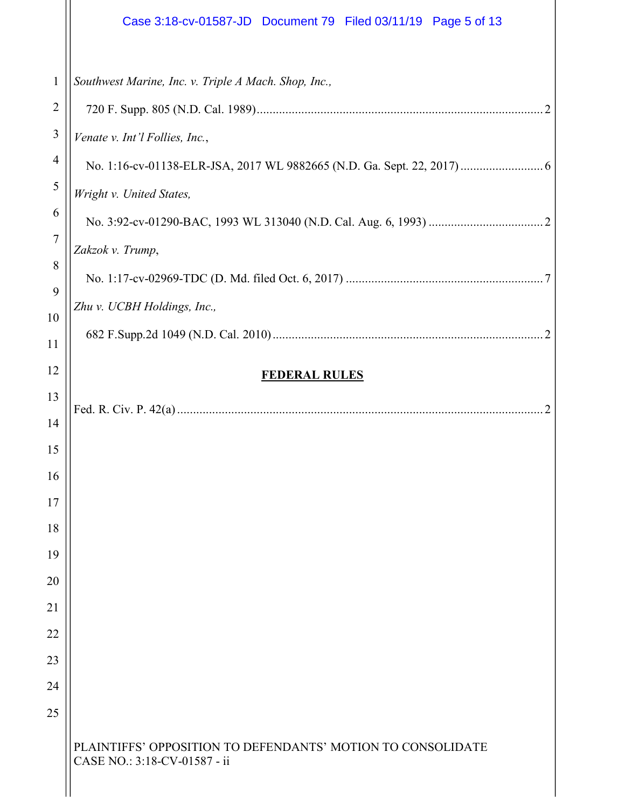|                | Case 3:18-cv-01587-JD  Document 79  Filed 03/11/19  Page 5 of 13                            |
|----------------|---------------------------------------------------------------------------------------------|
| $\mathbf{1}$   | Southwest Marine, Inc. v. Triple A Mach. Shop, Inc.,                                        |
| $\overline{2}$ |                                                                                             |
| $\mathfrak{Z}$ | Venate v. Int'l Follies, Inc.,                                                              |
| 4              |                                                                                             |
| 5              | Wright v. United States,                                                                    |
| 6              |                                                                                             |
| $\overline{7}$ | Zakzok v. Trump,                                                                            |
| 8              |                                                                                             |
| 9<br>10        | Zhu v. UCBH Holdings, Inc.,                                                                 |
| 11             |                                                                                             |
| 12             |                                                                                             |
| 13             | <b>FEDERAL RULES</b>                                                                        |
| 14             |                                                                                             |
| 15             |                                                                                             |
| 16             |                                                                                             |
| 17             |                                                                                             |
| 18             |                                                                                             |
| 19             |                                                                                             |
| 20             |                                                                                             |
| 21             |                                                                                             |
| 22             |                                                                                             |
| 23             |                                                                                             |
| 24             |                                                                                             |
| 25             |                                                                                             |
|                | PLAINTIFFS' OPPOSITION TO DEFENDANTS' MOTION TO CONSOLIDATE<br>CASE NO.: 3:18-CV-01587 - ii |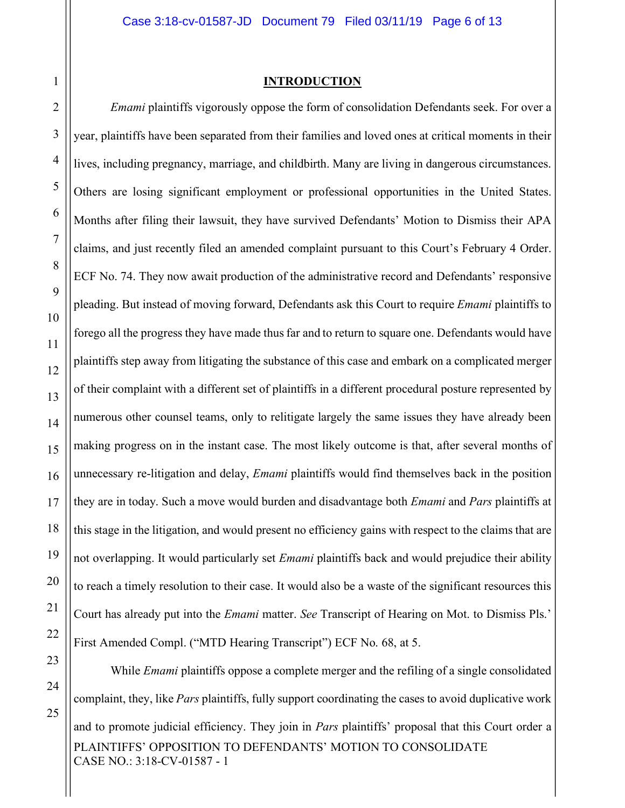1

2

3

4

5

6

7

8

9

10

11

12

13

14

## **INTRODUCTION**

*Emami* plaintiffs vigorously oppose the form of consolidation Defendants seek. For over a year, plaintiffs have been separated from their families and loved ones at critical moments in their lives, including pregnancy, marriage, and childbirth. Many are living in dangerous circumstances. Others are losing significant employment or professional opportunities in the United States. Months after filing their lawsuit, they have survived Defendants' Motion to Dismiss their APA claims, and just recently filed an amended complaint pursuant to this Court's February 4 Order. ECF No. 74. They now await production of the administrative record and Defendants' responsive pleading. But instead of moving forward, Defendants ask this Court to require *Emami* plaintiffs to forego all the progress they have made thus far and to return to square one. Defendants would have plaintiffs step away from litigating the substance of this case and embark on a complicated merger of their complaint with a different set of plaintiffs in a different procedural posture represented by numerous other counsel teams, only to relitigate largely the same issues they have already been making progress on in the instant case. The most likely outcome is that, after several months of unnecessary re-litigation and delay, *Emami* plaintiffs would find themselves back in the position they are in today. Such a move would burden and disadvantage both *Emami* and *Pars* plaintiffs at this stage in the litigation, and would present no efficiency gains with respect to the claims that are not overlapping. It would particularly set *Emami* plaintiffs back and would prejudice their ability to reach a timely resolution to their case. It would also be a waste of the significant resources this Court has already put into the *Emami* matter. *See* Transcript of Hearing on Mot. to Dismiss Pls.' First Amended Compl. ("MTD Hearing Transcript") ECF No. 68, at 5.

PLAINTIFFS' OPPOSITION TO DEFENDANTS' MOTION TO CONSOLIDATE CASE NO.: 3:18-CV-01587 - 1 While *Emami* plaintiffs oppose a complete merger and the refiling of a single consolidated complaint, they, like *Pars* plaintiffs, fully support coordinating the cases to avoid duplicative work and to promote judicial efficiency. They join in *Pars* plaintiffs' proposal that this Court order a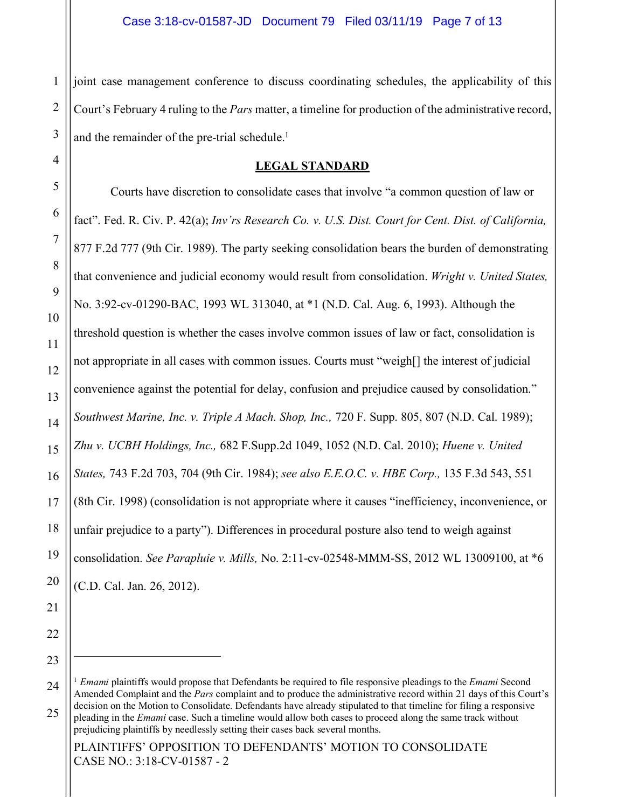1 2 3 joint case management conference to discuss coordinating schedules, the applicability of this Court's February 4 ruling to the *Pars* matter, a timeline for production of the administrative record, and the remainder of the pre-trial schedule.<sup>1</sup>

## **LEGAL STANDARD**

Courts have discretion to consolidate cases that involve "a common question of law or fact". Fed. R. Civ. P. 42(a); *Inv'rs Research Co. v. U.S. Dist. Court for Cent. Dist. of California,*  877 F.2d 777 (9th Cir. 1989). The party seeking consolidation bears the burden of demonstrating that convenience and judicial economy would result from consolidation. *Wright v. United States,*  No. 3:92-cv-01290-BAC, 1993 WL 313040, at \*1 (N.D. Cal. Aug. 6, 1993). Although the threshold question is whether the cases involve common issues of law or fact, consolidation is not appropriate in all cases with common issues. Courts must "weigh[] the interest of judicial convenience against the potential for delay, confusion and prejudice caused by consolidation." *Southwest Marine, Inc. v. Triple A Mach. Shop, Inc.,* 720 F. Supp. 805, 807 (N.D. Cal. 1989); *Zhu v. UCBH Holdings, Inc.,* 682 F.Supp.2d 1049, 1052 (N.D. Cal. 2010); *Huene v. United States,* 743 F.2d 703, 704 (9th Cir. 1984); *see also E.E.O.C. v. HBE Corp.,* 135 F.3d 543, 551 (8th Cir. 1998) (consolidation is not appropriate where it causes "inefficiency, inconvenience, or unfair prejudice to a party"). Differences in procedural posture also tend to weigh against consolidation. *See Parapluie v. Mills,* No. 2:11-cv-02548-MMM-SS, 2012 WL 13009100, at \*6 (C.D. Cal. Jan. 26, 2012).

25

<u>.</u>

PLAINTIFFS' OPPOSITION TO DEFENDANTS' MOTION TO CONSOLIDATE CASE NO.: 3:18-CV-01587 - 2

4

5

6

7

<sup>9</sup> 10 11 12 13 14 15 16 17 18 19 20 21 22 23 24

<sup>1</sup> *Emami* plaintiffs would propose that Defendants be required to file responsive pleadings to the *Emami* Second Amended Complaint and the *Pars* complaint and to produce the administrative record within 21 days of this Court's decision on the Motion to Consolidate. Defendants have already stipulated to that timeline for filing a responsive pleading in the *Emami* case. Such a timeline would allow both cases to proceed along the same track without

prejudicing plaintiffs by needlessly setting their cases back several months.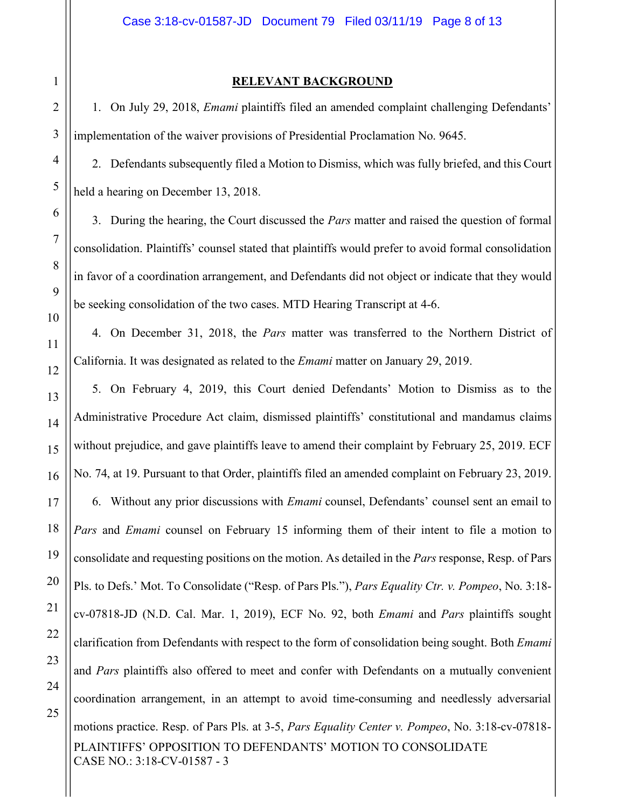25

## **RELEVANT BACKGROUND**

1. On July 29, 2018, *Emami* plaintiffs filed an amended complaint challenging Defendants' implementation of the waiver provisions of Presidential Proclamation No. 9645.

2. Defendants subsequently filed a Motion to Dismiss, which was fully briefed, and this Court held a hearing on December 13, 2018.

3. During the hearing, the Court discussed the *Pars* matter and raised the question of formal consolidation. Plaintiffs' counsel stated that plaintiffs would prefer to avoid formal consolidation in favor of a coordination arrangement, and Defendants did not object or indicate that they would be seeking consolidation of the two cases. MTD Hearing Transcript at 4-6.

4. On December 31, 2018, the *Pars* matter was transferred to the Northern District of California. It was designated as related to the *Emami* matter on January 29, 2019.

PLAINTIFFS' OPPOSITION TO DEFENDANTS' MOTION TO CONSOLIDATE CASE NO.: 3:18-CV-01587 - 3 5. On February 4, 2019, this Court denied Defendants' Motion to Dismiss as to the Administrative Procedure Act claim, dismissed plaintiffs' constitutional and mandamus claims without prejudice, and gave plaintiffs leave to amend their complaint by February 25, 2019. ECF No. 74, at 19. Pursuant to that Order, plaintiffs filed an amended complaint on February 23, 2019. 6. Without any prior discussions with *Emami* counsel, Defendants' counsel sent an email to *Pars* and *Emami* counsel on February 15 informing them of their intent to file a motion to consolidate and requesting positions on the motion. As detailed in the *Pars* response, Resp. of Pars Pls. to Defs.' Mot. To Consolidate ("Resp. of Pars Pls."), *Pars Equality Ctr. v. Pompeo*, No. 3:18 cv-07818-JD (N.D. Cal. Mar. 1, 2019), ECF No. 92, both *Emami* and *Pars* plaintiffs sought clarification from Defendants with respect to the form of consolidation being sought. Both *Emami*  and *Pars* plaintiffs also offered to meet and confer with Defendants on a mutually convenient coordination arrangement, in an attempt to avoid time-consuming and needlessly adversarial motions practice. Resp. of Pars Pls. at 3-5, *Pars Equality Center v. Pompeo*, No. 3:18-cv-07818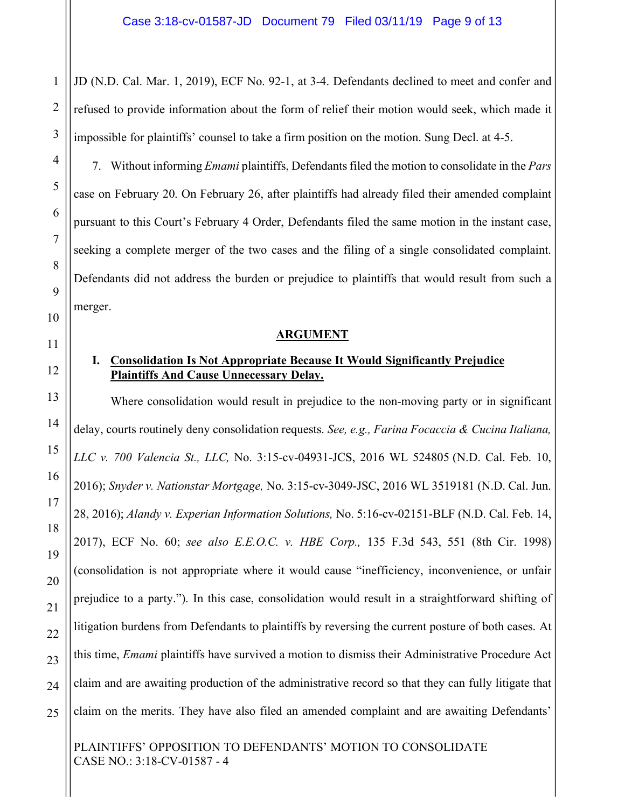JD (N.D. Cal. Mar. 1, 2019), ECF No. 92-1, at 3-4. Defendants declined to meet and confer and refused to provide information about the form of relief their motion would seek, which made it impossible for plaintiffs' counsel to take a firm position on the motion. Sung Decl. at 4-5.

7. Without informing *Emami* plaintiffs, Defendants filed the motion to consolidate in the *Pars*  case on February 20. On February 26, after plaintiffs had already filed their amended complaint pursuant to this Court's February 4 Order, Defendants filed the same motion in the instant case, seeking a complete merger of the two cases and the filing of a single consolidated complaint. Defendants did not address the burden or prejudice to plaintiffs that would result from such a merger.

### **ARGUMENT**

# **I. Consolidation Is Not Appropriate Because It Would Significantly Prejudice Plaintiffs And Cause Unnecessary Delay.**

Where consolidation would result in prejudice to the non-moving party or in significant delay, courts routinely deny consolidation requests. *See, e.g., Farina Focaccia & Cucina Italiana, LLC v. 700 Valencia St., LLC,* No. 3:15-cv-04931-JCS, 2016 WL 524805 (N.D. Cal. Feb. 10, 2016); *Snyder v. Nationstar Mortgage,* No. 3:15-cv-3049-JSC, 2016 WL 3519181 (N.D. Cal. Jun. 28, 2016); *Alandy v. Experian Information Solutions,* No. 5:16-cv-02151-BLF (N.D. Cal. Feb. 14, 2017), ECF No. 60; *see also E.E.O.C. v. HBE Corp.,* 135 F.3d 543, 551 (8th Cir. 1998) (consolidation is not appropriate where it would cause "inefficiency, inconvenience, or unfair prejudice to a party."). In this case, consolidation would result in a straightforward shifting of litigation burdens from Defendants to plaintiffs by reversing the current posture of both cases. At this time, *Emami* plaintiffs have survived a motion to dismiss their Administrative Procedure Act claim and are awaiting production of the administrative record so that they can fully litigate that claim on the merits. They have also filed an amended complaint and are awaiting Defendants'

PLAINTIFFS' OPPOSITION TO DEFENDANTS' MOTION TO CONSOLIDATE CASE NO.: 3:18-CV-01587 - 4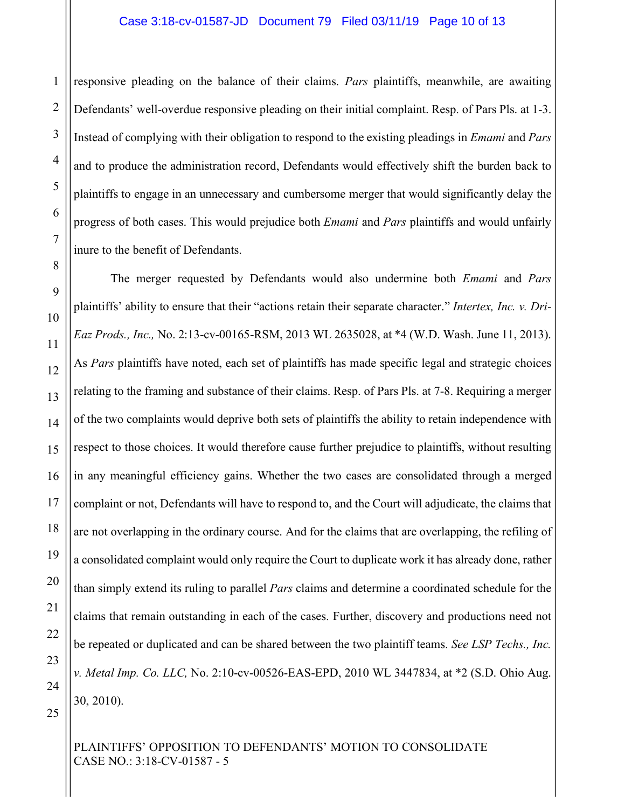## Case 3:18-cv-01587-JD Document 79 Filed 03/11/19 Page 10 of 13

responsive pleading on the balance of their claims. *Pars* plaintiffs, meanwhile, are awaiting Defendants' well-overdue responsive pleading on their initial complaint. Resp. of Pars Pls. at 1-3. Instead of complying with their obligation to respond to the existing pleadings in *Emami* and *Pars*  and to produce the administration record, Defendants would effectively shift the burden back to plaintiffs to engage in an unnecessary and cumbersome merger that would significantly delay the progress of both cases. This would prejudice both *Emami* and *Pars* plaintiffs and would unfairly inure to the benefit of Defendants.

The merger requested by Defendants would also undermine both *Emami* and *Pars*  plaintiffs' ability to ensure that their "actions retain their separate character." *Intertex, Inc. v. Dri-Eaz Prods., Inc.,* No. 2:13-cv-00165-RSM, 2013 WL 2635028, at \*4 (W.D. Wash. June 11, 2013). As *Pars* plaintiffs have noted, each set of plaintiffs has made specific legal and strategic choices relating to the framing and substance of their claims. Resp. of Pars Pls. at 7-8. Requiring a merger of the two complaints would deprive both sets of plaintiffs the ability to retain independence with respect to those choices. It would therefore cause further prejudice to plaintiffs, without resulting in any meaningful efficiency gains. Whether the two cases are consolidated through a merged complaint or not, Defendants will have to respond to, and the Court will adjudicate, the claims that are not overlapping in the ordinary course. And for the claims that are overlapping, the refiling of a consolidated complaint would only require the Court to duplicate work it has already done, rather than simply extend its ruling to parallel *Pars* claims and determine a coordinated schedule for the claims that remain outstanding in each of the cases. Further, discovery and productions need not be repeated or duplicated and can be shared between the two plaintiff teams. *See LSP Techs., Inc. v. Metal Imp. Co. LLC,* No. 2:10-cv-00526-EAS-EPD, 2010 WL 3447834, at \*2 (S.D. Ohio Aug. 30, 2010).

PLAINTIFFS' OPPOSITION TO DEFENDANTS' MOTION TO CONSOLIDATE CASE NO.: 3:18-CV-01587 - 5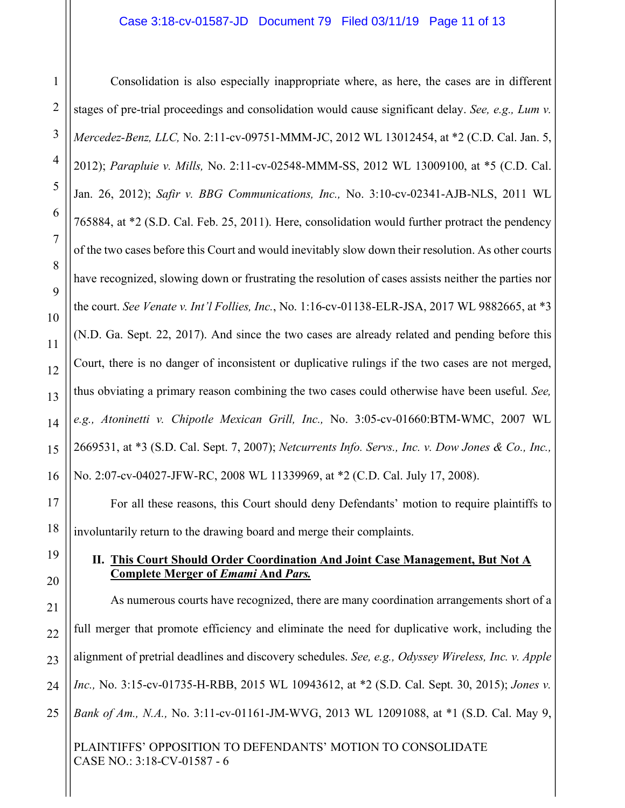## Case 3:18-cv-01587-JD Document 79 Filed 03/11/19 Page 11 of 13

Consolidation is also especially inappropriate where, as here, the cases are in different stages of pre-trial proceedings and consolidation would cause significant delay. *See, e.g., Lum v. Mercedez-Benz, LLC,* No. 2:11-cv-09751-MMM-JC, 2012 WL 13012454, at \*2 (C.D. Cal. Jan. 5, 2012); *Parapluie v. Mills,* No. 2:11-cv-02548-MMM-SS, 2012 WL 13009100, at \*5 (C.D. Cal. Jan. 26, 2012); *Safir v. BBG Communications, Inc.,* No. 3:10-cv-02341-AJB-NLS, 2011 WL 765884, at \*2 (S.D. Cal. Feb. 25, 2011). Here, consolidation would further protract the pendency of the two cases before this Court and would inevitably slow down their resolution. As other courts have recognized, slowing down or frustrating the resolution of cases assists neither the parties nor the court. *See Venate v. Int'l Follies, Inc.*, No. 1:16-cv-01138-ELR-JSA, 2017 WL 9882665, at \*3 (N.D. Ga. Sept. 22, 2017). And since the two cases are already related and pending before this Court, there is no danger of inconsistent or duplicative rulings if the two cases are not merged, thus obviating a primary reason combining the two cases could otherwise have been useful. *See, e.g., Atoninetti v. Chipotle Mexican Grill, Inc.,* No. 3:05-cv-01660:BTM-WMC, 2007 WL 2669531, at \*3 (S.D. Cal. Sept. 7, 2007); *Netcurrents Info. Servs., Inc. v. Dow Jones & Co., Inc.,* No. 2:07-cv-04027-JFW-RC, 2008 WL 11339969, at \*2 (C.D. Cal. July 17, 2008).

For all these reasons, this Court should deny Defendants' motion to require plaintiffs to involuntarily return to the drawing board and merge their complaints.

## **II. This Court Should Order Coordination And Joint Case Management, But Not A Complete Merger of** *Emami* **And** *Pars.*

As numerous courts have recognized, there are many coordination arrangements short of a full merger that promote efficiency and eliminate the need for duplicative work, including the alignment of pretrial deadlines and discovery schedules. *See, e.g., Odyssey Wireless, Inc. v. Apple Inc.,* No. 3:15-cv-01735-H-RBB, 2015 WL 10943612, at \*2 (S.D. Cal. Sept. 30, 2015); *Jones v. Bank of Am., N.A.,* No. 3:11-cv-01161-JM-WVG, 2013 WL 12091088, at \*1 (S.D. Cal. May 9,

PLAINTIFFS' OPPOSITION TO DEFENDANTS' MOTION TO CONSOLIDATE CASE NO.: 3:18-CV-01587 - 6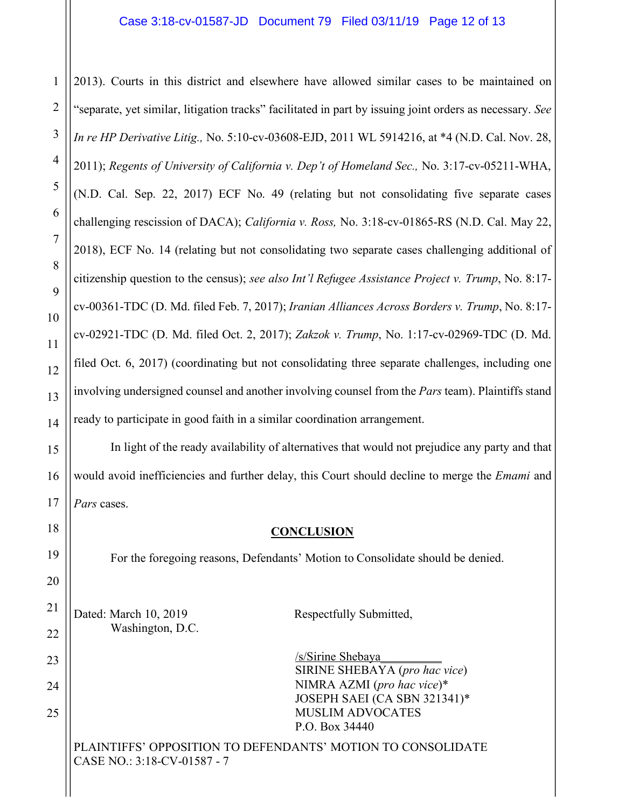## Case 3:18-cv-01587-JD Document 79 Filed 03/11/19 Page 12 of 13

2013). Courts in this district and elsewhere have allowed similar cases to be maintained on "separate, yet similar, litigation tracks" facilitated in part by issuing joint orders as necessary. *See In re HP Derivative Litig.,* No. 5:10-cv-03608-EJD, 2011 WL 5914216, at \*4 (N.D. Cal. Nov. 28, 2011); *Regents of University of California v. Dep't of Homeland Sec.,* No. 3:17-cv-05211-WHA, (N.D. Cal. Sep. 22, 2017) ECF No. 49 (relating but not consolidating five separate cases challenging rescission of DACA); *California v. Ross,* No. 3:18-cv-01865-RS (N.D. Cal. May 22, 2018), ECF No. 14 (relating but not consolidating two separate cases challenging additional of citizenship question to the census); *see also Int'l Refugee Assistance Project v. Trump*, No. 8:17 cv-00361-TDC (D. Md. filed Feb. 7, 2017); *Iranian Alliances Across Borders v. Trump*, No. 8:17 cv-02921-TDC (D. Md. filed Oct. 2, 2017); *Zakzok v. Trump*, No. 1:17-cv-02969-TDC (D. Md. filed Oct. 6, 2017) (coordinating but not consolidating three separate challenges, including one involving undersigned counsel and another involving counsel from the *Pars* team). Plaintiffs stand ready to participate in good faith in a similar coordination arrangement.

In light of the ready availability of alternatives that would not prejudice any party and that would avoid inefficiencies and further delay, this Court should decline to merge the *Emami* and *Pars* cases.

### **CONCLUSION**

For the foregoing reasons, Defendants' Motion to Consolidate should be denied.

Dated: March 10, 2019 Respectfully Submitted, Washington, D.C.

/s/Sirine Shebaya\_\_\_\_\_\_\_\_\_\_ SIRINE SHEBAYA (*pro hac vice*) NIMRA AZMI (*pro hac vice*)\* JOSEPH SAEI (CA SBN 321341)\* MUSLIM ADVOCATES P.O. Box 34440

PLAINTIFFS' OPPOSITION TO DEFENDANTS' MOTION TO CONSOLIDATE CASE NO.: 3:18-CV-01587 - 7